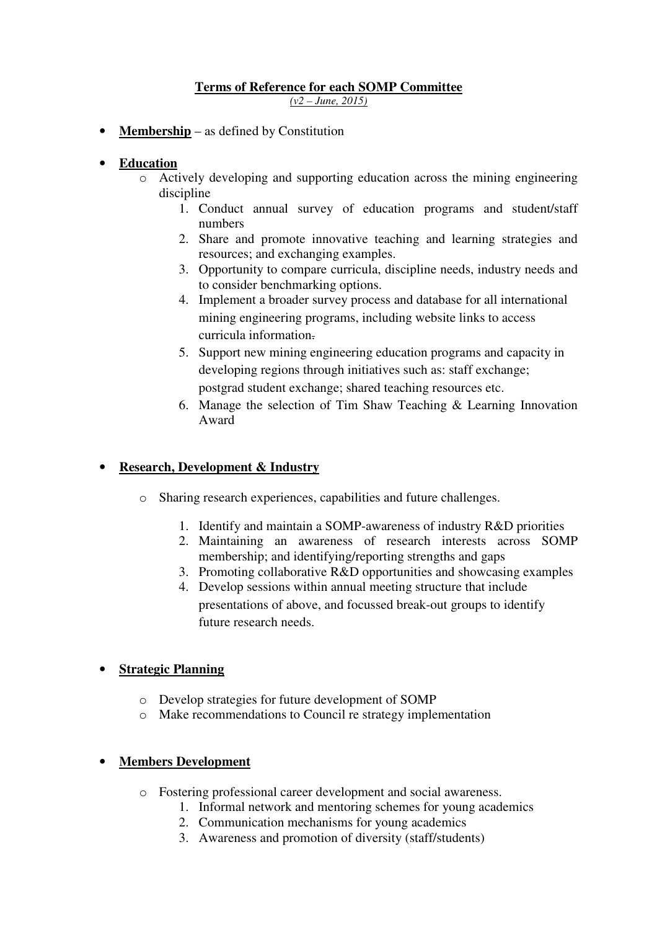#### **Terms of Reference for each SOMP Committee**  *(v2 – June, 2015)*

**Membership** – as defined by Constitution

## • **Education**

- o Actively developing and supporting education across the mining engineering discipline
	- 1. Conduct annual survey of education programs and student/staff numbers
	- 2. Share and promote innovative teaching and learning strategies and resources; and exchanging examples.
	- 3. Opportunity to compare curricula, discipline needs, industry needs and to consider benchmarking options.
	- 4. Implement a broader survey process and database for all international mining engineering programs, including website links to access curricula information.
	- 5. Support new mining engineering education programs and capacity in developing regions through initiatives such as: staff exchange; postgrad student exchange; shared teaching resources etc.
	- 6. Manage the selection of Tim Shaw Teaching & Learning Innovation Award

## • **Research, Development & Industry**

- o Sharing research experiences, capabilities and future challenges.
	- 1. Identify and maintain a SOMP-awareness of industry R&D priorities
	- 2. Maintaining an awareness of research interests across SOMP membership; and identifying/reporting strengths and gaps
	- 3. Promoting collaborative R&D opportunities and showcasing examples
	- 4. Develop sessions within annual meeting structure that include presentations of above, and focussed break-out groups to identify future research needs.

## • **Strategic Planning**

- o Develop strategies for future development of SOMP
- o Make recommendations to Council re strategy implementation

## • **Members Development**

- o Fostering professional career development and social awareness.
	- 1. Informal network and mentoring schemes for young academics
		- 2. Communication mechanisms for young academics
	- 3. Awareness and promotion of diversity (staff/students)